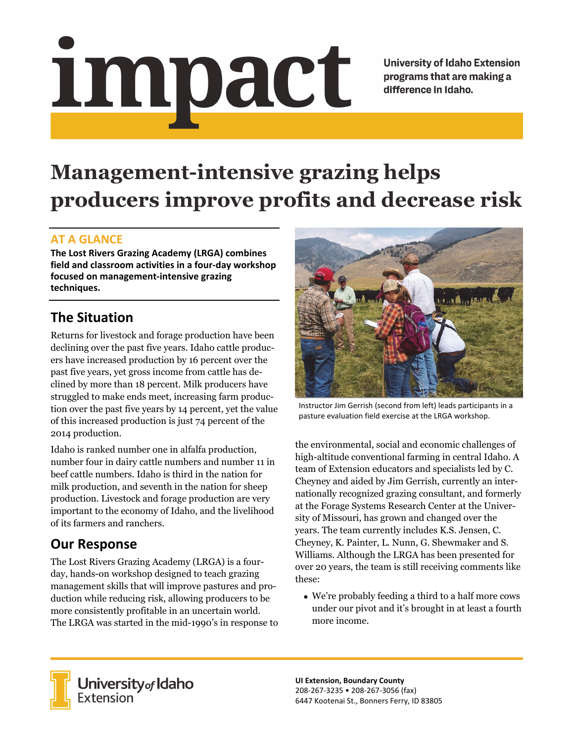# Impact

**University of Idaho Extension** programs that are making a difference in Idaho.

# **Management-intensive grazing helps producers improve profits and decrease risk**

### **AT A GLANCE**

**The Lost Rivers Grazing Academy (LRGA) combines field and classroom activities in a four‐day workshop focused on management‐intensive grazing techniques.** 

### **The Situation**

Returns for livestock and forage production have been declining over the past five years. Idaho cattle producers have increased production by 16 percent over the past five years, yet gross income from cattle has declined by more than 18 percent. Milk producers have struggled to make ends meet, increasing farm production over the past five years by 14 percent, yet the value of this increased production is just 74 percent of the 2014 production.

Idaho is ranked number one in alfalfa production, number four in dairy cattle numbers and number 11 in beef cattle numbers. Idaho is third in the nation for milk production, and seventh in the nation for sheep production. Livestock and forage production are very important to the economy of Idaho, and the livelihood of its farmers and ranchers.

## **Our Response**

The Lost Rivers Grazing Academy (LRGA) is a fourday, hands-on workshop designed to teach grazing management skills that will improve pastures and production while reducing risk, allowing producers to be more consistently profitable in an uncertain world. The LRGA was started in the mid-1990's in response to



Instructor Jim Gerrish (second from left) leads participants in a pasture evaluation field exercise at the LRGA workshop.

the environmental, social and economic challenges of high-altitude conventional farming in central Idaho. A team of Extension educators and specialists led by C. Cheyney and aided by Jim Gerrish, currently an internationally recognized grazing consultant, and formerly at the Forage Systems Research Center at the University of Missouri, has grown and changed over the years. The team currently includes K.S. Jensen, C. Cheyney, K. Painter, L. Nunn, G. Shewmaker and S. Williams. Although the LRGA has been presented for over 20 years, the team is still receiving comments like these:

 We're probably feeding a third to a half more cows under our pivot and it's brought in at least a fourth more income.



**University** of Idaho<br>Extension

**UI Extension, Boundary County**  208‐267‐3235 • 208‐267‐3056 (fax) 6447 Kootenai St., Bonners Ferry, ID 83805